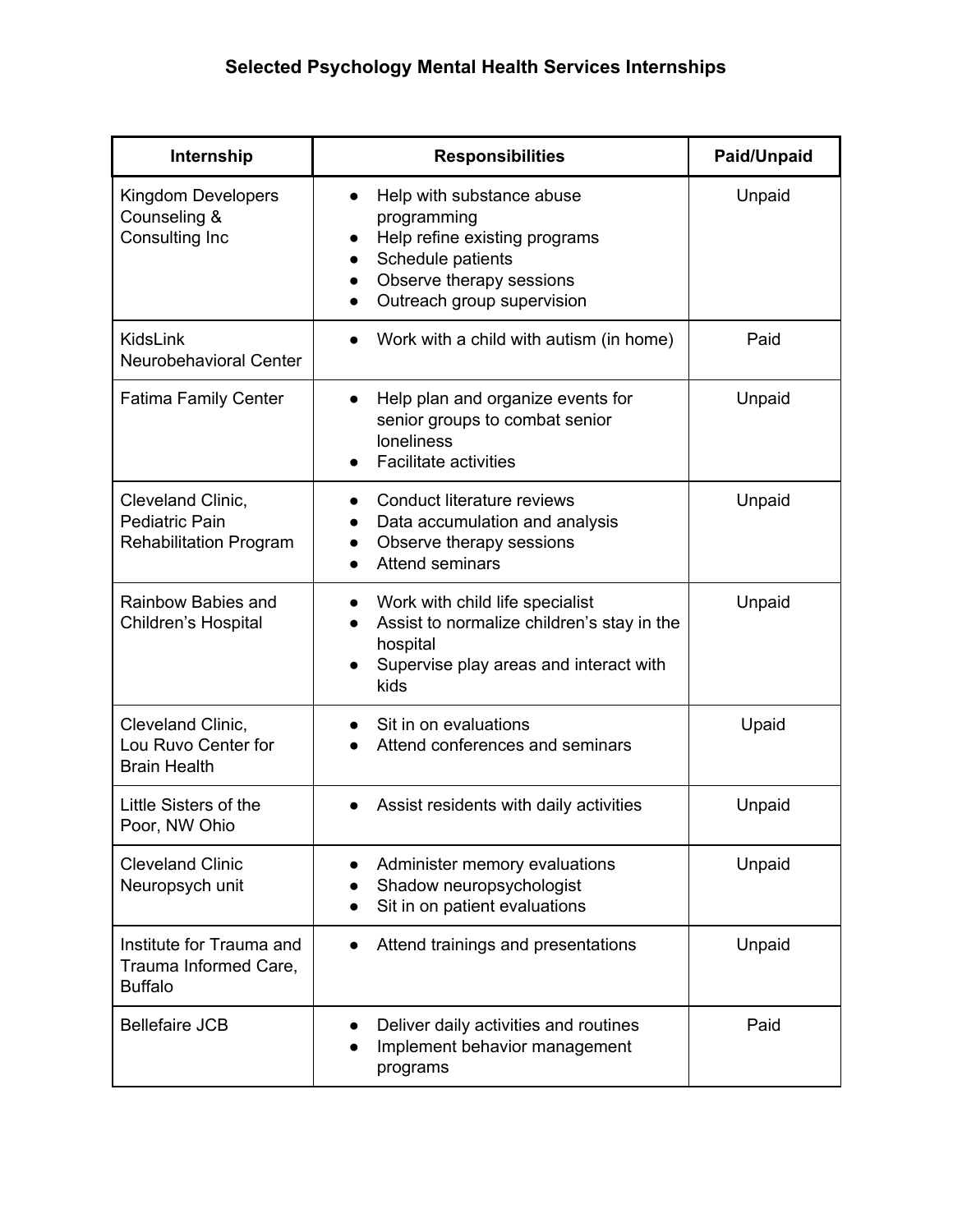| Internship                                                           | <b>Responsibilities</b>                                                                                                                                  | Paid/Unpaid |
|----------------------------------------------------------------------|----------------------------------------------------------------------------------------------------------------------------------------------------------|-------------|
| Kingdom Developers<br>Counseling &<br>Consulting Inc                 | Help with substance abuse<br>programming<br>Help refine existing programs<br>Schedule patients<br>Observe therapy sessions<br>Outreach group supervision | Unpaid      |
| KidsLink<br>Neurobehavioral Center                                   | Work with a child with autism (in home)<br>$\bullet$                                                                                                     | Paid        |
| <b>Fatima Family Center</b>                                          | Help plan and organize events for<br>senior groups to combat senior<br>loneliness<br><b>Facilitate activities</b>                                        | Unpaid      |
| Cleveland Clinic,<br>Pediatric Pain<br><b>Rehabilitation Program</b> | Conduct literature reviews<br>Data accumulation and analysis<br>Observe therapy sessions<br><b>Attend seminars</b>                                       | Unpaid      |
| Rainbow Babies and<br>Children's Hospital                            | Work with child life specialist<br>Assist to normalize children's stay in the<br>hospital<br>Supervise play areas and interact with<br>kids              | Unpaid      |
| Cleveland Clinic,<br>Lou Ruvo Center for<br><b>Brain Health</b>      | Sit in on evaluations<br>Attend conferences and seminars                                                                                                 | Upaid       |
| Little Sisters of the<br>Poor, NW Ohio                               | Assist residents with daily activities                                                                                                                   | Unpaid      |
| <b>Cleveland Clinic</b><br>Neuropsych unit                           | Administer memory evaluations<br>Shadow neuropsychologist<br>Sit in on patient evaluations                                                               | Unpaid      |
| Institute for Trauma and<br>Trauma Informed Care,<br><b>Buffalo</b>  | Attend trainings and presentations                                                                                                                       | Unpaid      |
| <b>Bellefaire JCB</b>                                                | Deliver daily activities and routines<br>Implement behavior management<br>programs                                                                       | Paid        |